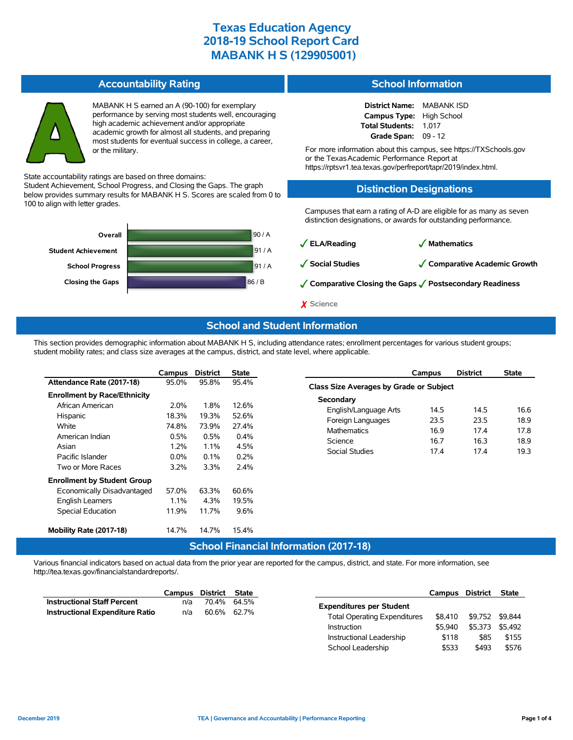### **Accountability Rating**



MABANK H S earned an A (90-100) for exemplary performance by serving most students well, encouraging high academic achievement and/or appropriate academic growth for almost all students, and preparing most students for eventual success in college, a career, or the military.

State accountability ratings are based on three domains:

Student Achievement, School Progress, and Closing the Gaps. The graph below provides summary results for MABANK H S. Scores are scaled from 0 to 100 to align with letter grades.



### **School Information**

| <b>District Name:</b> | <b>MABANK ISD</b>  |
|-----------------------|--------------------|
| <b>Campus Type:</b>   | <b>High School</b> |
| Total Students:       | 1.017              |
| Grade Span:           | $09 - 12$          |

For more information about this campus, see https://TXSchools.gov or the TexasAcademic Performance Report at https://rptsvr1.tea.texas.gov/perfreport/tapr/2019/index.html.

#### **Distinction Designations**

Campuses that earn a rating of A-D are eligible for as many as seven distinction designations, or awards for outstanding performance.

✓**ELA/Reading** ✓ **Mathematics** ✓**Social Studies** ✓**Comparative Academic Growth** ✓**Comparative Closing the Gaps** ✓**Postsecondary Readiness** ✗ **Science**

#### **School and Student Information**

This section provides demographic information about MABANK H S, including attendance rates; enrollment percentages for various student groups; student mobility rates; and class size averages at the campus, district, and state level, where applicable.

|                                     | Campus  | <b>District</b> | State    |
|-------------------------------------|---------|-----------------|----------|
| Attendance Rate (2017-18)           | 95.0%   | 95.8%           | 95.4%    |
| <b>Enrollment by Race/Ethnicity</b> |         |                 |          |
| African American                    | $2.0\%$ | 1.8%            | 12.6%    |
| Hispanic                            | 18.3%   | 19.3%           | 52.6%    |
| White                               | 74.8%   | 73.9%           | 27.4%    |
| American Indian                     | $0.5\%$ | $0.5\%$         | $0.4\%$  |
| Asian                               | $1.2\%$ | $1.1\%$         | 4.5%     |
| Pacific Islander                    | $0.0\%$ | $0.1\%$         | 0.2%     |
| Two or More Races                   | 3.2%    | 3.3%            | 2.4%     |
| <b>Enrollment by Student Group</b>  |         |                 |          |
| Economically Disadvantaged          | 57.0%   | 63.3%           | 60.6%    |
| <b>English Learners</b>             | $1.1\%$ | 4.3%            | 19.5%    |
| <b>Special Education</b>            | 11.9%   | 11.7%           | 9.6%     |
|                                     |         |                 |          |
| Mobility Rate (2017-18)             | 14.7%   | 14.7%           | 15.4%    |
|                                     |         | ___             | $\cdots$ |

|                                         | Campus | <b>District</b> | State |  |  |  |  |  |  |  |
|-----------------------------------------|--------|-----------------|-------|--|--|--|--|--|--|--|
| Class Size Averages by Grade or Subject |        |                 |       |  |  |  |  |  |  |  |
| Secondary                               |        |                 |       |  |  |  |  |  |  |  |
| English/Language Arts                   | 14.5   | 14.5            | 16.6  |  |  |  |  |  |  |  |
| Foreign Languages                       | 23.5   | 23.5            | 18.9  |  |  |  |  |  |  |  |
| <b>Mathematics</b>                      | 16.9   | 174             | 17.8  |  |  |  |  |  |  |  |
| Science                                 | 16.7   | 16.3            | 18.9  |  |  |  |  |  |  |  |
| Social Studies                          | 174    | 174             | 19.3  |  |  |  |  |  |  |  |
|                                         |        |                 |       |  |  |  |  |  |  |  |

### **School Financial Information (2017-18)**

Various financial indicators based on actual data from the prior year are reported for the campus, district, and state. For more information, see http://tea.texas.gov/financialstandardreports/.

|                                        | Campus             | District | State   | Campus                                         | District |         |
|----------------------------------------|--------------------|----------|---------|------------------------------------------------|----------|---------|
| <b>Instructional Staff Percent</b>     | n/a                | 70.4%    | 64.5%   | <b>Expenditures per Student</b>                |          |         |
| <b>Instructional Expenditure Ratio</b> | n/a                | 60.6%    | 62.7%   | \$8.410<br><b>Total Operating Expenditures</b> | \$9.752  | \$9.844 |
|                                        | <b>Instruction</b> |          | \$5,940 | \$5.373                                        | \$5.492  |         |
|                                        |                    |          |         | Instructional Leadership<br>\$118              | \$85     |         |
|                                        |                    |          |         | School Leadership<br>\$533                     | \$493    |         |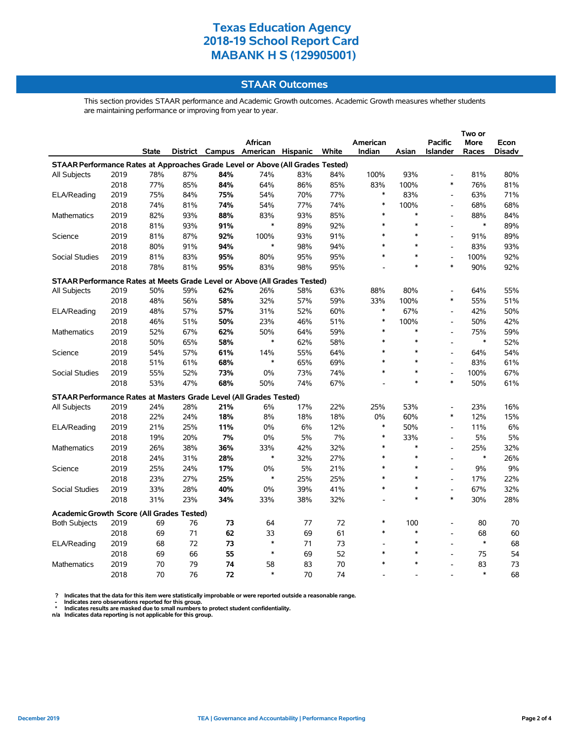### **STAAR Outcomes**

This section provides STAAR performance and Academic Growth outcomes. Academic Growth measures whether students are maintaining performance or improving from year to year.

|                                                                                |      |              |     |     | African                           |     |       | American |        | <b>Pacific</b>               | <b>More</b> | Econ          |
|--------------------------------------------------------------------------------|------|--------------|-----|-----|-----------------------------------|-----|-------|----------|--------|------------------------------|-------------|---------------|
|                                                                                |      | <b>State</b> |     |     | District Campus American Hispanic |     | White | Indian   | Asian  | <b>Islander</b>              | Races       | <b>Disadv</b> |
| STAAR Performance Rates at Approaches Grade Level or Above (All Grades Tested) |      |              |     |     |                                   |     |       |          |        |                              |             |               |
| All Subjects                                                                   | 2019 | 78%          | 87% | 84% | 74%                               | 83% | 84%   | 100%     | 93%    | $\overline{a}$               | 81%         | 80%           |
|                                                                                | 2018 | 77%          | 85% | 84% | 64%                               | 86% | 85%   | 83%      | 100%   | $\ast$                       | 76%         | 81%           |
| ELA/Reading                                                                    | 2019 | 75%          | 84% | 75% | 54%                               | 70% | 77%   | $\ast$   | 83%    | $\overline{\phantom{a}}$     | 63%         | 71%           |
|                                                                                | 2018 | 74%          | 81% | 74% | 54%                               | 77% | 74%   | $\ast$   | 100%   | $\overline{\phantom{a}}$     | 68%         | 68%           |
| <b>Mathematics</b>                                                             | 2019 | 82%          | 93% | 88% | 83%                               | 93% | 85%   | $\ast$   | $\ast$ | $\overline{a}$               | 88%         | 84%           |
|                                                                                | 2018 | 81%          | 93% | 91% | $\ast$                            | 89% | 92%   | $\ast$   | $\ast$ | $\overline{a}$               | $\ast$      | 89%           |
| Science                                                                        | 2019 | 81%          | 87% | 92% | 100%                              | 93% | 91%   | $\ast$   | $\ast$ | $\overline{a}$               | 91%         | 89%           |
|                                                                                | 2018 | 80%          | 91% | 94% | $\ast$                            | 98% | 94%   | $\ast$   | $\ast$ | $\overline{a}$               | 83%         | 93%           |
| Social Studies                                                                 | 2019 | 81%          | 83% | 95% | 80%                               | 95% | 95%   | $\ast$   | *      | L,                           | 100%        | 92%           |
|                                                                                | 2018 | 78%          | 81% | 95% | 83%                               | 98% | 95%   |          | $\ast$ | $\ast$                       | 90%         | 92%           |
| STAAR Performance Rates at Meets Grade Level or Above (All Grades Tested)      |      |              |     |     |                                   |     |       |          |        |                              |             |               |
| All Subjects                                                                   | 2019 | 50%          | 59% | 62% | 26%                               | 58% | 63%   | 88%      | 80%    | $\overline{a}$               | 64%         | 55%           |
|                                                                                | 2018 | 48%          | 56% | 58% | 32%                               | 57% | 59%   | 33%      | 100%   | $\ast$                       | 55%         | 51%           |
| ELA/Reading                                                                    | 2019 | 48%          | 57% | 57% | 31%                               | 52% | 60%   | $\ast$   | 67%    | $\overline{a}$               | 42%         | 50%           |
|                                                                                | 2018 | 46%          | 51% | 50% | 23%                               | 46% | 51%   | $\ast$   | 100%   | L,                           | 50%         | 42%           |
| <b>Mathematics</b>                                                             | 2019 | 52%          | 67% | 62% | 50%                               | 64% | 59%   | $\ast$   | $\ast$ | $\overline{a}$               | 75%         | 59%           |
|                                                                                | 2018 | 50%          | 65% | 58% | $\ast$                            | 62% | 58%   | *        | $\ast$ | $\overline{a}$               | $\ast$      | 52%           |
| Science                                                                        | 2019 | 54%          | 57% | 61% | 14%                               | 55% | 64%   | *        | $\ast$ | $\overline{a}$               | 64%         | 54%           |
|                                                                                | 2018 | 51%          | 61% | 68% | $\ast$                            | 65% | 69%   | $\ast$   | $\ast$ | $\overline{a}$               | 83%         | 61%           |
| Social Studies                                                                 | 2019 | 55%          | 52% | 73% | 0%                                | 73% | 74%   | $\ast$   | *      | $\overline{\phantom{a}}$     | 100%        | 67%           |
|                                                                                | 2018 | 53%          | 47% | 68% | 50%                               | 74% | 67%   |          | $\ast$ | *                            | 50%         | 61%           |
| STAAR Performance Rates at Masters Grade Level (All Grades Tested)             |      |              |     |     |                                   |     |       |          |        |                              |             |               |
| <b>All Subjects</b>                                                            | 2019 | 24%          | 28% | 21% | 6%                                | 17% | 22%   | 25%      | 53%    | $\overline{a}$               | 23%         | 16%           |
|                                                                                | 2018 | 22%          | 24% | 18% | 8%                                | 18% | 18%   | 0%       | 60%    | $\ast$                       | 12%         | 15%           |
| ELA/Reading                                                                    | 2019 | 21%          | 25% | 11% | 0%                                | 6%  | 12%   | $\ast$   | 50%    | $\overline{\phantom{a}}$     | 11%         | 6%            |
|                                                                                | 2018 | 19%          | 20% | 7%  | 0%                                | 5%  | 7%    | $\ast$   | 33%    | $\overline{a}$               | 5%          | 5%            |
| Mathematics                                                                    | 2019 | 26%          | 38% | 36% | 33%                               | 42% | 32%   | $\ast$   | $\ast$ | $\overline{a}$               | 25%         | 32%           |
|                                                                                | 2018 | 24%          | 31% | 28% | $\ast$                            | 32% | 27%   | $\ast$   | $\ast$ | $\overline{a}$               | $\ast$      | 26%           |
| Science                                                                        | 2019 | 25%          | 24% | 17% | $0\%$                             | 5%  | 21%   | *        | *      | $\qquad \qquad \blacksquare$ | 9%          | 9%            |
|                                                                                | 2018 | 23%          | 27% | 25% | $\ast$                            | 25% | 25%   | *        | *      | $\overline{a}$               | 17%         | 22%           |
| <b>Social Studies</b>                                                          | 2019 | 33%          | 28% | 40% | 0%                                | 39% | 41%   | *        | $\ast$ | L,                           | 67%         | 32%           |
|                                                                                | 2018 | 31%          | 23% | 34% | 33%                               | 38% | 32%   |          | $\ast$ | $\ast$                       | 30%         | 28%           |
| Academic Growth Score (All Grades Tested)                                      |      |              |     |     |                                   |     |       |          |        |                              |             |               |
| <b>Both Subjects</b>                                                           | 2019 | 69           | 76  | 73  | 64                                | 77  | 72    | *        | 100    | $\overline{a}$               | 80          | 70            |
|                                                                                | 2018 | 69           | 71  | 62  | 33                                | 69  | 61    | $\ast$   | $\ast$ | $\overline{a}$               | 68          | 60            |
| ELA/Reading                                                                    | 2019 | 68           | 72  | 73  | $\ast$                            | 71  | 73    |          | $\ast$ | $\overline{a}$               | $\ast$      | 68            |
|                                                                                | 2018 | 69           | 66  | 55  | $\ast$                            | 69  | 52    | *        | $\ast$ | $\overline{a}$               | 75          | 54            |
| Mathematics                                                                    | 2019 | 70           | 79  | 74  | 58                                | 83  | 70    | $\ast$   | $\ast$ | $\overline{a}$               | 83          | 73            |
|                                                                                | 2018 | 70           | 76  | 72  | $\ast$                            | 70  | 74    |          |        |                              | $\ast$      | 68            |

? Indicates that the data for this item were statistically improbable or were reported outside a reasonable range.<br>- Indicates zero observations reported for this group.<br>\* Indicates results are masked due to small numbers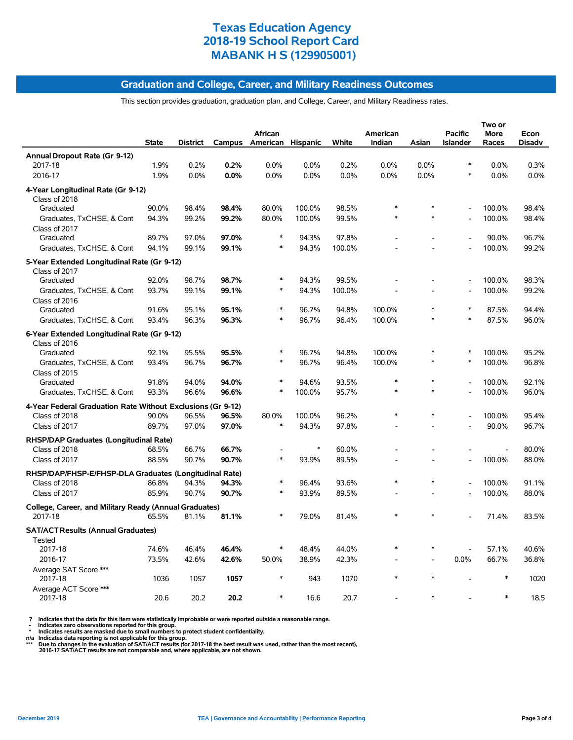#### **Graduation and College, Career, and Military Readiness Outcomes**

This section provides graduation, graduation plan, and College, Career, and Military Readiness rates.

|                                                              | <b>State</b> | <b>District</b> | Campus | <b>African</b><br>American Hispanic |        | White  | American<br>Indian | Asian          | <b>Pacific</b><br><b>Islander</b> | Two or<br><b>More</b><br>Races | Econ<br><b>Disadv</b> |
|--------------------------------------------------------------|--------------|-----------------|--------|-------------------------------------|--------|--------|--------------------|----------------|-----------------------------------|--------------------------------|-----------------------|
| Annual Dropout Rate (Gr 9-12)                                |              |                 |        |                                     |        |        |                    |                |                                   |                                |                       |
| 2017-18                                                      | 1.9%         | 0.2%            | 0.2%   | 0.0%                                | 0.0%   | 0.2%   | 0.0%               | 0.0%           | $\ast$                            | 0.0%                           | 0.3%                  |
| 2016-17                                                      | 1.9%         | 0.0%            | 0.0%   | 0.0%                                | 0.0%   | 0.0%   | 0.0%               | 0.0%           | $\ast$                            | 0.0%                           | 0.0%                  |
| 4-Year Longitudinal Rate (Gr 9-12)<br>Class of 2018          |              |                 |        |                                     |        |        |                    |                |                                   |                                |                       |
| Graduated                                                    | 90.0%        | 98.4%           | 98.4%  | 80.0%                               | 100.0% | 98.5%  | *                  |                | $\overline{a}$                    | 100.0%                         | 98.4%                 |
| Graduates, TxCHSE, & Cont<br>Class of 2017                   | 94.3%        | 99.2%           | 99.2%  | 80.0%                               | 100.0% | 99.5%  | $\ast$             | $\ast$         | L,                                | 100.0%                         | 98.4%                 |
| Graduated                                                    | 89.7%        | 97.0%           | 97.0%  | $\ast$                              | 94.3%  | 97.8%  |                    |                |                                   | 90.0%                          | 96.7%                 |
| Graduates, TxCHSE, & Cont                                    | 94.1%        | 99.1%           | 99.1%  | $\ast$                              | 94.3%  | 100.0% |                    |                | $\overline{a}$                    | 100.0%                         | 99.2%                 |
|                                                              |              |                 |        |                                     |        |        |                    |                |                                   |                                |                       |
| 5-Year Extended Longitudinal Rate (Gr 9-12)<br>Class of 2017 |              |                 |        |                                     |        |        |                    |                |                                   |                                |                       |
| Graduated                                                    | 92.0%        | 98.7%           | 98.7%  | $\ast$                              | 94.3%  | 99.5%  |                    |                |                                   | 100.0%                         | 98.3%                 |
| Graduates, TxCHSE, & Cont<br>Class of 2016                   | 93.7%        | 99.1%           | 99.1%  | $\ast$                              | 94.3%  | 100.0% |                    |                | $\overline{a}$                    | 100.0%                         | 99.2%                 |
| Graduated                                                    | 91.6%        | 95.1%           | 95.1%  | $\ast$                              | 96.7%  | 94.8%  | 100.0%             |                | $\ast$                            | 87.5%                          | 94.4%                 |
| Graduates, TxCHSE, & Cont                                    | 93.4%        | 96.3%           | 96.3%  | $\ast$                              | 96.7%  | 96.4%  | 100.0%             | $\ast$         | $\ast$                            | 87.5%                          | 96.0%                 |
|                                                              |              |                 |        |                                     |        |        |                    |                |                                   |                                |                       |
| 6-Year Extended Longitudinal Rate (Gr 9-12)<br>Class of 2016 |              |                 |        |                                     |        |        |                    |                |                                   |                                |                       |
| Graduated                                                    | 92.1%        | 95.5%           | 95.5%  |                                     | 96.7%  | 94.8%  | 100.0%             | *              | ∗                                 | 100.0%                         | 95.2%                 |
| Graduates, TxCHSE, & Cont                                    | 93.4%        | 96.7%           | 96.7%  | $\ast$                              | 96.7%  | 96.4%  | 100.0%             | $\ast$         | $\ast$                            | 100.0%                         | 96.8%                 |
| Class of 2015                                                |              |                 |        |                                     |        |        |                    |                |                                   |                                |                       |
| Graduated                                                    | 91.8%        | 94.0%           | 94.0%  | $\ast$                              | 94.6%  | 93.5%  | $\ast$             |                | $\overline{a}$                    | 100.0%                         | 92.1%                 |
| Graduates, TxCHSE, & Cont                                    | 93.3%        | 96.6%           | 96.6%  | $\ast$                              | 100.0% | 95.7%  | $\ast$             | $\ast$         | $\overline{a}$                    | 100.0%                         | 96.0%                 |
| 4-Year Federal Graduation Rate Without Exclusions (Gr 9-12)  |              |                 |        |                                     |        |        |                    |                |                                   |                                |                       |
| Class of 2018                                                | 90.0%        | 96.5%           | 96.5%  | 80.0%                               | 100.0% | 96.2%  | $\ast$             | $\ast$         |                                   | 100.0%                         | 95.4%                 |
| Class of 2017                                                | 89.7%        | 97.0%           | 97.0%  | $\ast$                              | 94.3%  | 97.8%  |                    |                |                                   | 90.0%                          | 96.7%                 |
| RHSP/DAP Graduates (Longitudinal Rate)                       |              |                 |        |                                     |        |        |                    |                |                                   |                                |                       |
| Class of 2018                                                | 68.5%        | 66.7%           | 66.7%  |                                     | $\ast$ | 60.0%  |                    |                |                                   |                                | 80.0%                 |
| Class of 2017                                                | 88.5%        | 90.7%           | 90.7%  | $\ast$                              | 93.9%  | 89.5%  |                    |                | $\overline{a}$                    | 100.0%                         | 88.0%                 |
| RHSP/DAP/FHSP-E/FHSP-DLA Graduates (Longitudinal Rate)       |              |                 |        |                                     |        |        |                    |                |                                   |                                |                       |
| Class of 2018                                                | 86.8%        | 94.3%           | 94.3%  |                                     | 96.4%  | 93.6%  | $\ast$             | *              | $\overline{a}$                    | 100.0%                         | 91.1%                 |
| Class of 2017                                                | 85.9%        | 90.7%           | 90.7%  | $\ast$                              | 93.9%  | 89.5%  |                    |                |                                   | 100.0%                         | 88.0%                 |
| College, Career, and Military Ready (Annual Graduates)       |              |                 |        |                                     |        |        |                    |                |                                   |                                |                       |
| 2017-18                                                      | 65.5%        | 81.1%           | 81.1%  | $\ast$                              | 79.0%  | 81.4%  |                    |                |                                   | 71.4%                          | 83.5%                 |
| <b>SAT/ACT Results (Annual Graduates)</b>                    |              |                 |        |                                     |        |        |                    |                |                                   |                                |                       |
| Tested<br>2017-18                                            | 74.6%        | 46.4%           | 46.4%  | $\ast$                              | 48.4%  | 44.0%  | $\ast$             | $\ast$         |                                   | 57.1%                          | 40.6%                 |
| 2016-17                                                      | 73.5%        | 42.6%           | 42.6%  | 50.0%                               | 38.9%  | 42.3%  |                    | $\overline{a}$ | 0.0%                              | 66.7%                          | 36.8%                 |
| Average SAT Score ***                                        |              |                 |        |                                     |        |        |                    |                |                                   |                                |                       |
| 2017-18                                                      | 1036         | 1057            | 1057   | $\ast$                              | 943    | 1070   |                    | $\ast$         |                                   | $\ast$                         | 1020                  |
| Average ACT Score ***<br>2017-18                             | 20.6         | 20.2            | 20.2   | $\ast$                              | 16.6   | 20.7   |                    |                |                                   |                                | 18.5                  |

? Indicates that the data for this item were statistically improbable or were reported outside a reasonable range.<br>- Indicates zero observations reported for this group.<br>- Indicates are masked due to small numbers to prote